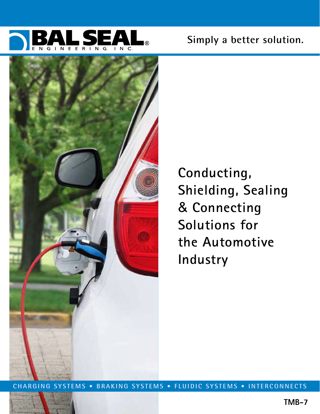





**Conducting, Shielding, Sealing**  & **Connecting Solutions for the Automotive Industry**

**CHARGING SYSTEMS • BRAKING SYSTEMS • FLUIDIC SYSTEMS • INTERCONNECTS**

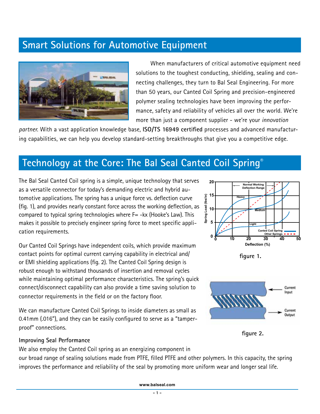# **Smart Solutions for Automotive Equipment**



When manufacturers of critical automotive equipment need solutions to the toughest conducting, shielding, sealing and connecting challenges, they turn to Bal Seal Engineering. For more than 50 years, our Canted Coil Spring and precision-engineered polymer sealing technologies have been improving the performance, safety and reliability of vehicles all over the world. We're more than just a component supplier - we're your *innovation* 

*partner*. With a vast application knowledge base, **ISO/TS 16949 certified** processes and advanced manufacturing capabilities, we can help you develop standard-setting breakthroughs that give you a competitive edge.

### **Technology at the Core: The Bal Seal Canted Coil Spring®**

The Bal Seal Canted Coil spring is a simple, unique technology that serves as a versatile connector for today's demanding electric and hybrid automotive applications. The spring has a unique force vs. deflection curve (fig. 1), and provides nearly constant force across the working deflection, as compared to typical spring technologies where  $F = -kx$  (Hooke's Law). This makes it possible to precisely engineer spring force to meet specific application requirements.

Our Canted Coil Springs have independent coils, which provide maximum contact points for optimal current carrying capability in electrical and/ or EMI shielding applications (fig. 2). The Canted Coil Spring design is robust enough to withstand thousands of insertion and removal cycles while maintaining optimal performance characteristics. The spring's quick connect/disconnect capability can also provide a time saving solution to connector requirements in the field or on the factory floor.

We can manufacture Canted Coil Springs to inside diameters as small as 0.41mm (.016"), and they can be easily configured to serve as a "tamperproof" connections.



**figure 1.**



**figure 2.**

#### **Improving Seal Performance**

We also employ the Canted Coil spring as an energizing component in our broad range of sealing solutions made from PTFE, filled PTFE and other polymers. In this capacity, the spring improves the performance and reliability of the seal by promoting more uniform wear and longer seal life.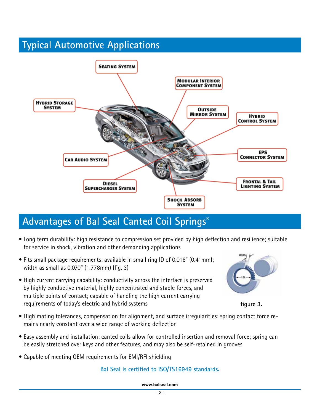# **Typical Automotive Applications**



# **Advantages of Bal Seal Canted Coil Springs®**

- Long term durability: high resistance to compression set provided by high deflection and resilience; suitable for service in shock, vibration and other demanding applications
- Fits small package requirements: available in small ring ID of 0.016" (0.41mm); width as small as 0.070" (1.778mm) (fig. 3)
- High current carrying capability: conductivity across the interface is preserved by highly conductive material, highly concentrated and stable forces, and multiple points of contact; capable of handling the high current carrying requirements of today's electric and hybrid systems



**figure 3.**

- High mating tolerances, compensation for alignment, and surface irregularities: spring contact force remains nearly constant over a wide range of working deflection
- Easy assembly and installation: canted coils allow for controlled insertion and removal force; spring can be easily stretched over keys and other features, and may also be self-retained in grooves
- Capable of meeting OEM requirements for EMI/RFI shielding

### **Bal Seal is certified to ISO/TS16949 standards.**

**www.balseal.com**